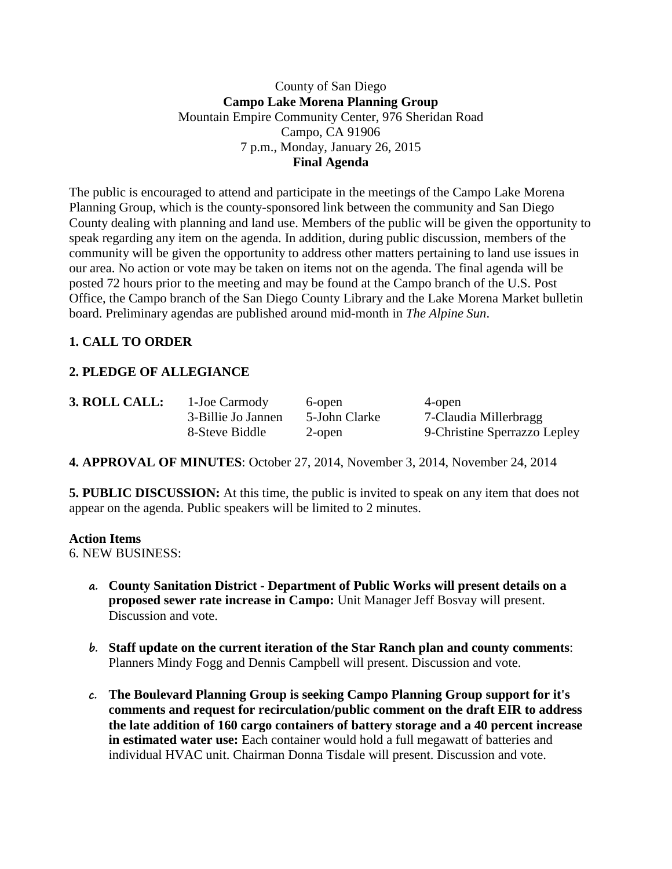### County of San Diego **Campo Lake Morena Planning Group** Mountain Empire Community Center, 976 Sheridan Road Campo, CA 91906 7 p.m., Monday, January 26, 2015 **Final Agenda**

The public is encouraged to attend and participate in the meetings of the Campo Lake Morena Planning Group, which is the county-sponsored link between the community and San Diego County dealing with planning and land use. Members of the public will be given the opportunity to speak regarding any item on the agenda. In addition, during public discussion, members of the community will be given the opportunity to address other matters pertaining to land use issues in our area. No action or vote may be taken on items not on the agenda. The final agenda will be posted 72 hours prior to the meeting and may be found at the Campo branch of the U.S. Post Office, the Campo branch of the San Diego County Library and the Lake Morena Market bulletin board. Preliminary agendas are published around mid-month in *The Alpine Sun*.

## **1. CALL TO ORDER**

# **2. PLEDGE OF ALLEGIANCE**

| 3. ROLL CALL: | 1-Joe Carmody      | 6-open        | 4-open                       |
|---------------|--------------------|---------------|------------------------------|
|               | 3-Billie Jo Jannen | 5-John Clarke | 7-Claudia Millerbragg        |
|               | 8-Steve Biddle     | 2-open        | 9-Christine Sperrazzo Lepley |

**4. APPROVAL OF MINUTES**: October 27, 2014, November 3, 2014, November 24, 2014

**5. PUBLIC DISCUSSION:** At this time, the public is invited to speak on any item that does not appear on the agenda. Public speakers will be limited to 2 minutes.

#### **Action Items**

6. NEW BUSINESS:

- **a. County Sanitation District - Department of Public Works will present details on a proposed sewer rate increase in Campo:** Unit Manager Jeff Bosvay will present. Discussion and vote.
- **b. Staff update on the current iteration of the Star Ranch plan and county comments**: Planners Mindy Fogg and Dennis Campbell will present. Discussion and vote.
- **c. The Boulevard Planning Group is seeking Campo Planning Group support for it's comments and request for recirculation/public comment on the draft EIR to address the late addition of 160 cargo containers of battery storage and a 40 percent increase in estimated water use:** Each container would hold a full megawatt of batteries and individual HVAC unit. Chairman Donna Tisdale will present. Discussion and vote.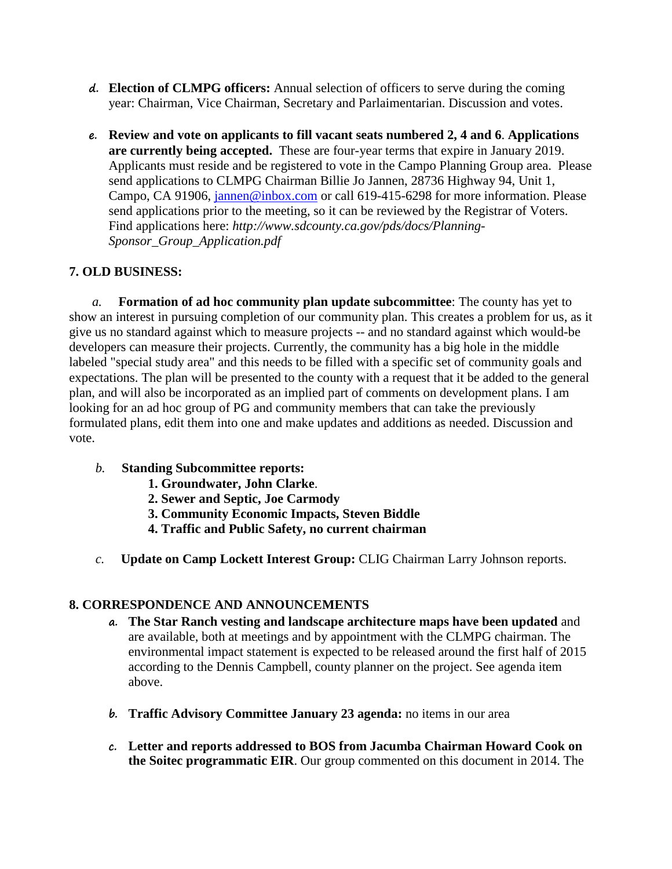- **d. Election of CLMPG officers:** Annual selection of officers to serve during the coming year: Chairman, Vice Chairman, Secretary and Parlaimentarian. Discussion and votes.
- **e. Review and vote on applicants to fill vacant seats numbered 2, 4 and 6**. **Applications are currently being accepted.** These are four-year terms that expire in January 2019. Applicants must reside and be registered to vote in the Campo Planning Group area. Please send applications to CLMPG Chairman Billie Jo Jannen, 28736 Highway 94, Unit 1, Campo, CA 91906, [jannen@inbox.com](mailto:campojoe@yahoo.com) or call 619-415-6298 for more information. Please send applications prior to the meeting, so it can be reviewed by the Registrar of Voters. Find applications here: *http://www.sdcounty.ca.gov/pds/docs/Planning-Sponsor\_Group\_Application.pdf*

## **7. OLD BUSINESS:**

*a.* **Formation of ad hoc community plan update subcommittee**: The county has yet to show an interest in pursuing completion of our community plan. This creates a problem for us, as it give us no standard against which to measure projects -- and no standard against which would-be developers can measure their projects. Currently, the community has a big hole in the middle labeled "special study area" and this needs to be filled with a specific set of community goals and expectations. The plan will be presented to the county with a request that it be added to the general plan, and will also be incorporated as an implied part of comments on development plans. I am looking for an ad hoc group of PG and community members that can take the previously formulated plans, edit them into one and make updates and additions as needed. Discussion and vote.

- *b.* **Standing Subcommittee reports:**
	- **1. Groundwater, John Clarke**.
	- **2. Sewer and Septic, Joe Carmody**
	- **3. Community Economic Impacts, Steven Biddle**
	- **4. Traffic and Public Safety, no current chairman**
- *c.* **Update on Camp Lockett Interest Group:** CLIG Chairman Larry Johnson reports.

## **8. CORRESPONDENCE AND ANNOUNCEMENTS**

- **a. The Star Ranch vesting and landscape architecture maps have been updated** and are available, both at meetings and by appointment with the CLMPG chairman. The environmental impact statement is expected to be released around the first half of 2015 according to the Dennis Campbell, county planner on the project. See agenda item above.
- **b. Traffic Advisory Committee January 23 agenda:** no items in our area
- **c. Letter and reports addressed to BOS from Jacumba Chairman Howard Cook on the Soitec programmatic EIR**. Our group commented on this document in 2014. The